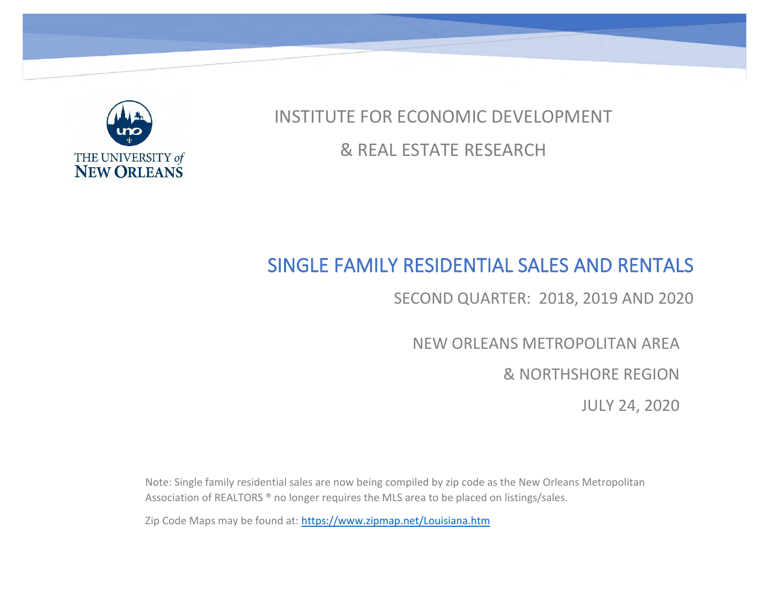

INSTITUTE FOR ECONOMIC DEVELOPMENT & REAL ESTATE RESEARCH

# SINGLE FAMILY RESIDENTIAL SALES AND RENTALS

SECOND QUARTER: 2018, 2019 AND 2020

NEW ORLEANS METROPOLITAN AREA

& NORTHSHORE REGION

JULY 24, 2020

Note: Single family residential sales are now being compiled by zip code as the New Orleans Metropolitan Association of REALTORS ® no longer requires the MLS area to be placed on listings/sales.

Zip Code Maps may be found at:<https://www.zipmap.net/Louisiana.htm>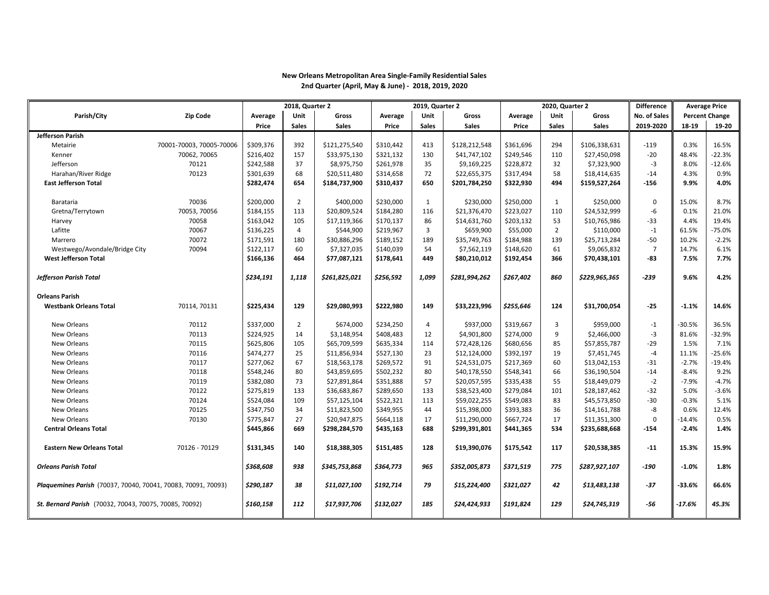|                                                               |                          | 2018, Quarter 2 |                |               |           | 2019, Quarter 2 |               |           | 2020, Quarter 2 |               | <b>Difference</b> |          | <b>Average Price</b>  |
|---------------------------------------------------------------|--------------------------|-----------------|----------------|---------------|-----------|-----------------|---------------|-----------|-----------------|---------------|-------------------|----------|-----------------------|
| Parish/City                                                   | <b>Zip Code</b>          | Average         | Unit           | Gross         | Average   | Unit            | Gross         | Average   | Unit            | Gross         | No. of Sales      |          | <b>Percent Change</b> |
|                                                               |                          | Price           | <b>Sales</b>   | <b>Sales</b>  | Price     | <b>Sales</b>    | <b>Sales</b>  | Price     | <b>Sales</b>    | <b>Sales</b>  | 2019-2020         | 18-19    | 19-20                 |
| Jefferson Parish                                              |                          |                 |                |               |           |                 |               |           |                 |               |                   |          |                       |
| Metairie                                                      | 70001-70003, 70005-70006 | \$309,376       | 392            | \$121,275,540 | \$310,442 | 413             | \$128,212,548 | \$361,696 | 294             | \$106,338,631 | $-119$            | 0.3%     | 16.5%                 |
| Kenner                                                        | 70062, 70065             | \$216,402       | 157            | \$33,975,130  | \$321,132 | 130             | \$41,747,102  | \$249,546 | 110             | \$27,450,098  | $-20$             | 48.4%    | $-22.3%$              |
| Jefferson                                                     | 70121                    | \$242,588       | 37             | \$8,975,750   | \$261,978 | 35              | \$9,169,225   | \$228,872 | 32              | \$7,323,900   | $-3$              | 8.0%     | $-12.6%$              |
| Harahan/River Ridge                                           | 70123                    | \$301,639       | 68             | \$20,511,480  | \$314,658 | 72              | \$22,655,375  | \$317,494 | 58              | \$18,414,635  | $-14$             | 4.3%     | 0.9%                  |
| <b>East Jefferson Total</b>                                   |                          | \$282,474       | 654            | \$184,737,900 | \$310,437 | 650             | \$201,784,250 | \$322,930 | 494             | \$159,527,264 | $-156$            | 9.9%     | 4.0%                  |
|                                                               |                          |                 |                |               |           |                 |               |           |                 |               |                   |          |                       |
| Barataria                                                     | 70036                    | \$200,000       | $\overline{2}$ | \$400,000     | \$230,000 | 1               | \$230,000     | \$250,000 | 1               | \$250,000     | $\mathbf 0$       | 15.0%    | 8.7%                  |
| Gretna/Terrytown                                              | 70053, 70056             | \$184,155       | 113            | \$20,809,524  | \$184,280 | 116             | \$21,376,470  | \$223,027 | 110             | \$24,532,999  | -6                | 0.1%     | 21.0%                 |
| Harvey                                                        | 70058                    | \$163,042       | 105            | \$17,119,366  | \$170,137 | 86              | \$14,631,760  | \$203,132 | 53              | \$10,765,986  | $-33$             | 4.4%     | 19.4%                 |
| Lafitte                                                       | 70067                    | \$136,225       | 4              | \$544,900     | \$219,967 | 3               | \$659,900     | \$55,000  | $\overline{2}$  | \$110,000     | $^{\rm -1}$       | 61.5%    | $-75.0%$              |
| Marrero                                                       | 70072                    | \$171,591       | 180            | \$30,886,296  | \$189,152 | 189             | \$35,749,763  | \$184,988 | 139             | \$25,713,284  | $-50$             | 10.2%    | $-2.2%$               |
| Westwego/Avondale/Bridge City                                 | 70094                    | \$122,117       | 60             | \$7,327,035   | \$140,039 | 54              | \$7,562,119   | \$148,620 | 61              | \$9,065,832   | $\overline{7}$    | 14.7%    | 6.1%                  |
| <b>West Jefferson Total</b>                                   |                          | \$166,136       | 464            | \$77,087,121  | \$178,641 | 449             | \$80,210,012  | \$192,454 | 366             | \$70,438,101  | -83               | 7.5%     | 7.7%                  |
|                                                               |                          |                 |                |               |           |                 |               |           |                 |               |                   |          |                       |
| <b>Jefferson Parish Total</b>                                 |                          | \$234,191       | 1,118          | \$261,825,021 | \$256,592 | 1,099           | \$281,994,262 | \$267,402 | 860             | \$229,965,365 | $-239$            | 9.6%     | 4.2%                  |
|                                                               |                          |                 |                |               |           |                 |               |           |                 |               |                   |          |                       |
| <b>Orleans Parish</b>                                         |                          |                 |                |               |           |                 |               |           |                 |               |                   |          |                       |
| <b>Westbank Orleans Total</b>                                 | 70114, 70131             | \$225,434       | 129            | \$29,080,993  | \$222,980 | 149             | \$33,223,996  | \$255,646 | 124             | \$31,700,054  | $-25$             | $-1.1%$  | 14.6%                 |
|                                                               |                          |                 |                |               |           |                 |               |           |                 |               |                   |          |                       |
| New Orleans                                                   | 70112                    | \$337,000       | $\overline{2}$ | \$674,000     | \$234,250 | 4               | \$937,000     | \$319,667 | 3               | \$959,000     | $-1$              | $-30.5%$ | 36.5%                 |
| New Orleans                                                   | 70113                    | \$224,925       | 14             | \$3,148,954   | \$408,483 | 12              | \$4,901,800   | \$274,000 | 9               | \$2,466,000   | $-3$              | 81.6%    | $-32.9%$              |
| New Orleans                                                   | 70115                    | \$625,806       | 105            | \$65,709,599  | \$635,334 | 114             | \$72,428,126  | \$680,656 | 85              | \$57,855,787  | $-29$             | 1.5%     | 7.1%                  |
| New Orleans                                                   | 70116                    | \$474,277       | 25             | \$11,856,934  | \$527,130 | 23              | \$12,124,000  | \$392,197 | 19              | \$7,451,745   | $-4$              | 11.1%    | $-25.6%$              |
| New Orleans                                                   | 70117                    | \$277,062       | 67             | \$18,563,178  | \$269,572 | 91              | \$24,531,075  | \$217,369 | 60              | \$13,042,153  | $-31$             | $-2.7%$  | $-19.4%$              |
| New Orleans                                                   | 70118                    | \$548,246       | 80             | \$43,859,695  | \$502,232 | 80              | \$40,178,550  | \$548,341 | 66              | \$36,190,504  | $-14$             | $-8.4%$  | 9.2%                  |
| New Orleans                                                   | 70119                    | \$382,080       | 73             | \$27,891,864  | \$351,888 | 57              | \$20,057,595  | \$335,438 | 55              | \$18,449,079  | $-2$              | $-7.9%$  | $-4.7%$               |
| New Orleans                                                   | 70122                    | \$275,819       | 133            | \$36,683,867  | \$289,650 | 133             | \$38,523,400  | \$279,084 | 101             | \$28,187,462  | $-32$             | 5.0%     | $-3.6%$               |
| New Orleans                                                   | 70124                    | \$524,084       | 109            | \$57,125,104  | \$522,321 | 113             | \$59,022,255  | \$549,083 | 83              | \$45,573,850  | $-30$             | $-0.3%$  | 5.1%                  |
| New Orleans                                                   | 70125                    | \$347,750       | 34             | \$11,823,500  | \$349,955 | 44              | \$15,398,000  | \$393,383 | 36              | \$14,161,788  | -8                | 0.6%     | 12.4%                 |
| New Orleans                                                   | 70130                    | \$775,847       | 27             | \$20,947,875  | \$664,118 | 17              | \$11,290,000  | \$667,724 | 17              | \$11,351,300  | $\mathbf{0}$      | $-14.4%$ | 0.5%                  |
| <b>Central Orleans Total</b>                                  |                          | \$445,866       | 669            | \$298,284,570 | \$435,163 | 688             | \$299,391,801 | \$441,365 | 534             | \$235,688,668 | $-154$            | $-2.4%$  | 1.4%                  |
| <b>Eastern New Orleans Total</b>                              | 70126 - 70129            | \$131,345       | 140            | \$18,388,305  | \$151,485 | 128             | \$19,390,076  | \$175,542 | 117             | \$20,538,385  | $-11$             | 15.3%    | 15.9%                 |
|                                                               |                          |                 |                |               |           |                 |               |           |                 |               |                   |          |                       |
|                                                               |                          | \$368,608       | 938            | \$345,753,868 | \$364,773 | 965             | \$352,005,873 | \$371,519 | 775             | \$287,927,107 | $-190$            | $-1.0%$  | 1.8%                  |
| <b>Orleans Parish Total</b>                                   |                          |                 |                |               |           |                 |               |           |                 |               |                   |          |                       |
| Plaquemines Parish (70037, 70040, 70041, 70083, 70091, 70093) |                          | \$290,187       | 38             | \$11,027,100  | \$192,714 | 79              | \$15,224,400  | \$321,027 | 42              | \$13,483,138  | $-37$             | $-33.6%$ | 66.6%                 |
|                                                               |                          |                 |                |               |           |                 |               |           |                 |               |                   |          |                       |
| St. Bernard Parish (70032, 70043, 70075, 70085, 70092)        |                          | \$160,158       | 112            | \$17,937,706  | \$132,027 | 185             | \$24,424,933  | \$191,824 | 129             | \$24,745,319  | -56               | $-17.6%$ | 45.3%                 |
|                                                               |                          |                 |                |               |           |                 |               |           |                 |               |                   |          |                       |

#### **New Orleans Metropolitan Area Single-Family Residential Sales 2nd Quarter (April, May & June) - 2018, 2019, 2020**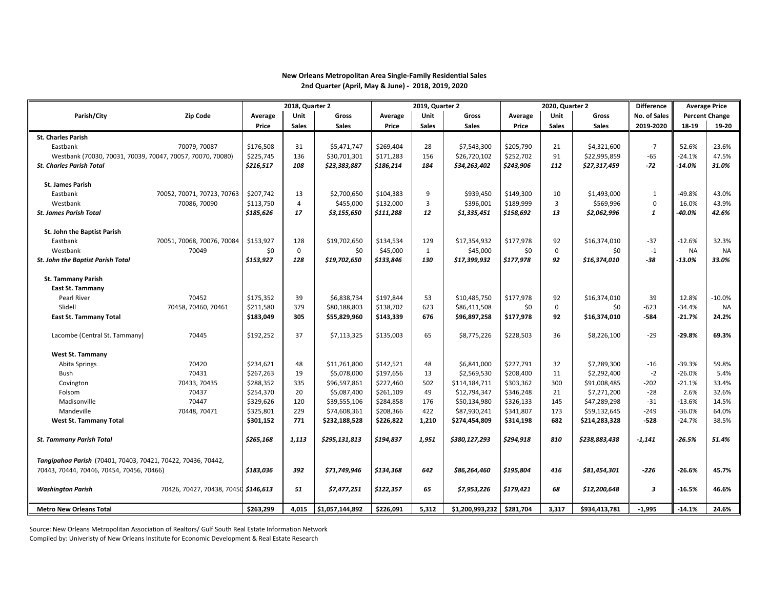#### **New Orleans Metropolitan Area Single-Family Residential Sales 2nd Quarter (April, May & June) - 2018, 2019, 2020**

|                                                              |                                      | 2018, Quarter 2  |                    |                 |           | 2019, Quarter 2     |                 | 2020, Quarter 2 |                   | <b>Difference</b>   |               | <b>Average Price</b>   |                       |
|--------------------------------------------------------------|--------------------------------------|------------------|--------------------|-----------------|-----------|---------------------|-----------------|-----------------|-------------------|---------------------|---------------|------------------------|-----------------------|
| Parish/City                                                  | <b>Zip Code</b>                      | Average          | Unit               | Gross           | Average   | Unit                | Gross           | Average         | Unit              | Gross               | No. of Sales  |                        | <b>Percent Change</b> |
|                                                              |                                      | Price            | <b>Sales</b>       | <b>Sales</b>    | Price     | <b>Sales</b>        | <b>Sales</b>    | Price           | <b>Sales</b>      | <b>Sales</b>        | 2019-2020     | 18-19                  | 19-20                 |
| <b>St. Charles Parish</b>                                    |                                      |                  |                    |                 |           |                     |                 |                 |                   |                     |               |                        |                       |
| Eastbank                                                     | 70079, 70087                         | \$176,508        | 31                 | \$5,471,747     | \$269,404 | 28                  | \$7,543,300     | \$205,790       | 21                | \$4,321,600         | $-7$          | 52.6%                  | $-23.6%$              |
| Westbank (70030, 70031, 70039, 70047, 70057, 70070, 70080)   |                                      | \$225,745        | 136                | \$30,701,301    | \$171,283 | 156                 | \$26,720,102    | \$252,702       | 91                | \$22,995,859        | $-65$         | $-24.1%$               | 47.5%                 |
| <b>St. Charles Parish Total</b>                              |                                      | \$216,517        | 108                | \$23,383,887    | \$186,214 | 184                 | \$34,263,402    | \$243,906       | 112               | \$27,317,459        | -72           | $-14.0\%$              | 31.0%                 |
|                                                              |                                      |                  |                    |                 |           |                     |                 |                 |                   |                     |               |                        |                       |
| <b>St. James Parish</b>                                      |                                      |                  |                    |                 |           |                     |                 |                 |                   |                     |               |                        |                       |
| Eastbank                                                     | 70052, 70071, 70723, 70763           | \$207,742        | 13                 | \$2,700,650     | \$104,383 | 9                   | \$939,450       | \$149,300       | 10                | \$1,493,000         | $\mathbf{1}$  | $-49.8%$               | 43.0%                 |
| Westbank                                                     | 70086, 70090                         | \$113,750        | 4                  | \$455,000       | \$132,000 | 3                   | \$396,001       | \$189,999       | 3                 | \$569,996           | $\mathbf 0$   | 16.0%                  | 43.9%                 |
| <b>St. James Parish Total</b>                                |                                      | \$185,626        | 17                 | \$3,155,650     | \$111,288 | 12                  | \$1,335,451     | \$158,692       | 13                | \$2,062,996         | $\mathbf{1}$  | $-40.0\%$              | 42.6%                 |
|                                                              |                                      |                  |                    |                 |           |                     |                 |                 |                   |                     |               |                        |                       |
| St. John the Baptist Parish                                  |                                      |                  |                    |                 |           |                     |                 |                 |                   |                     |               |                        |                       |
| Eastbank                                                     | 70051, 70068, 70076, 70084           | \$153,927        | 128                | \$19,702,650    | \$134,534 | 129                 | \$17,354,932    | \$177,978       | 92                | \$16,374,010        | $-37$         | $-12.6%$               | 32.3%                 |
| Westbank                                                     | 70049                                | \$0<br>\$153,927 | $\mathbf 0$<br>128 | \$0             | \$45,000  | $\mathbf{1}$<br>130 | \$45,000        | \$0             | $\mathbf 0$<br>92 | \$0<br>\$16,374,010 | $-1$<br>$-38$ | <b>NA</b><br>$-13.0\%$ | <b>NA</b><br>33.0%    |
| <b>St. John the Baptist Parish Total</b>                     |                                      |                  |                    | \$19,702,650    | \$133,846 |                     | \$17,399,932    | \$177,978       |                   |                     |               |                        |                       |
| <b>St. Tammany Parish</b>                                    |                                      |                  |                    |                 |           |                     |                 |                 |                   |                     |               |                        |                       |
| <b>East St. Tammany</b>                                      |                                      |                  |                    |                 |           |                     |                 |                 |                   |                     |               |                        |                       |
| Pearl River                                                  | 70452                                | \$175,352        | 39                 | \$6,838,734     | \$197,844 | 53                  | \$10,485,750    | \$177,978       | 92                | \$16,374,010        | 39            | 12.8%                  | $-10.0%$              |
| Slidell                                                      | 70458, 70460, 70461                  | \$211,580        | 379                | \$80,188,803    | \$138,702 | 623                 | \$86,411,508    | \$0             | $\mathbf 0$       | \$0                 | $-623$        | $-34.4%$               | <b>NA</b>             |
| <b>East St. Tammany Total</b>                                |                                      | \$183,049        | 305                | \$55,829,960    | \$143,339 | 676                 | \$96,897,258    | \$177,978       | 92                | \$16,374,010        | $-584$        | $-21.7%$               | 24.2%                 |
|                                                              |                                      |                  |                    |                 |           |                     |                 |                 |                   |                     |               |                        |                       |
| Lacombe (Central St. Tammany)                                | 70445                                | \$192,252        | 37                 | \$7,113,325     | \$135,003 | 65                  | \$8,775,226     | \$228,503       | 36                | \$8,226,100         | $-29$         | $-29.8%$               | 69.3%                 |
|                                                              |                                      |                  |                    |                 |           |                     |                 |                 |                   |                     |               |                        |                       |
| <b>West St. Tammany</b>                                      |                                      |                  |                    |                 |           |                     |                 |                 |                   |                     |               |                        |                       |
| Abita Springs                                                | 70420                                | \$234,621        | 48                 | \$11,261,800    | \$142,521 | 48                  | \$6,841,000     | \$227,791       | 32                | \$7,289,300         | $-16$         | $-39.3%$               | 59.8%                 |
| Bush                                                         | 70431                                | \$267,263        | 19                 | \$5,078,000     | \$197,656 | 13                  | \$2,569,530     | \$208,400       | 11                | \$2,292,400         | $-2$          | $-26.0%$               | 5.4%                  |
| Covington                                                    | 70433, 70435                         | \$288,352        | 335                | \$96,597,861    | \$227,460 | 502                 | \$114,184,711   | \$303,362       | 300               | \$91,008,485        | $-202$        | $-21.1%$               | 33.4%                 |
| Folsom                                                       | 70437                                | \$254,370        | 20                 | \$5,087,400     | \$261,109 | 49                  | \$12,794,347    | \$346,248       | 21                | \$7,271,200         | $-28$         | 2.6%                   | 32.6%                 |
| Madisonville                                                 | 70447                                | \$329,626        | 120                | \$39,555,106    | \$284,858 | 176                 | \$50,134,980    | \$326,133       | 145               | \$47,289,298        | $-31$         | $-13.6%$               | 14.5%                 |
| Mandeville                                                   | 70448, 70471                         | \$325,801        | 229                | \$74,608,361    | \$208,366 | 422                 | \$87,930,241    | \$341,807       | 173               | \$59,132,645        | $-249$        | $-36.0%$               | 64.0%                 |
| <b>West St. Tammany Total</b>                                |                                      | \$301,152        | 771                | \$232,188,528   | \$226,822 | 1,210               | \$274,454,809   | \$314,198       | 682               | \$214,283,328       | $-528$        | $-24.7%$               | 38.5%                 |
|                                                              |                                      |                  |                    |                 |           |                     |                 |                 |                   |                     |               |                        |                       |
| <b>St. Tammany Parish Total</b>                              |                                      | \$265,168        | 1,113              | \$295,131,813   | \$194,837 | 1,951               | \$380,127,293   | \$294,918       | 810               | \$238,883,438       | -1,141        | $-26.5%$               | 51.4%                 |
|                                                              |                                      |                  |                    |                 |           |                     |                 |                 |                   |                     |               |                        |                       |
| Tangipahoa Parish (70401, 70403, 70421, 70422, 70436, 70442, |                                      |                  |                    |                 |           |                     |                 |                 |                   |                     |               |                        |                       |
| 70443, 70444, 70446, 70454, 70456, 70466)                    |                                      | \$183.036        | 392                | \$71,749,946    | \$134,368 | 642                 | \$86,264,460    | \$195,804       | 416               | \$81,454,301        | $-226$        | $-26.6%$               | 45.7%                 |
|                                                              |                                      |                  |                    |                 |           |                     |                 |                 |                   |                     |               |                        |                       |
| <b>Washington Parish</b>                                     | 70426, 70427, 70438, 70450 \$146,613 |                  | 51                 | \$7,477,251     | \$122,357 | 65                  | \$7,953,226     | \$179,421       | 68                | \$12,200,648        | 3             | $-16.5%$               | 46.6%                 |
|                                                              |                                      |                  |                    |                 |           |                     |                 |                 |                   |                     |               |                        |                       |
| <b>Metro New Orleans Total</b>                               |                                      | \$263,299        | 4,015              | \$1,057,144,892 | \$226,091 | 5,312               | \$1,200,993,232 | \$281,704       | 3,317             | \$934,413,781       | $-1,995$      | $-14.1%$               | 24.6%                 |

Source: New Orleans Metropolitan Association of Realtors/ Gulf South Real Estate Information Network Compiled by: Univeristy of New Orleans Institute for Economic Development & Real Estate Research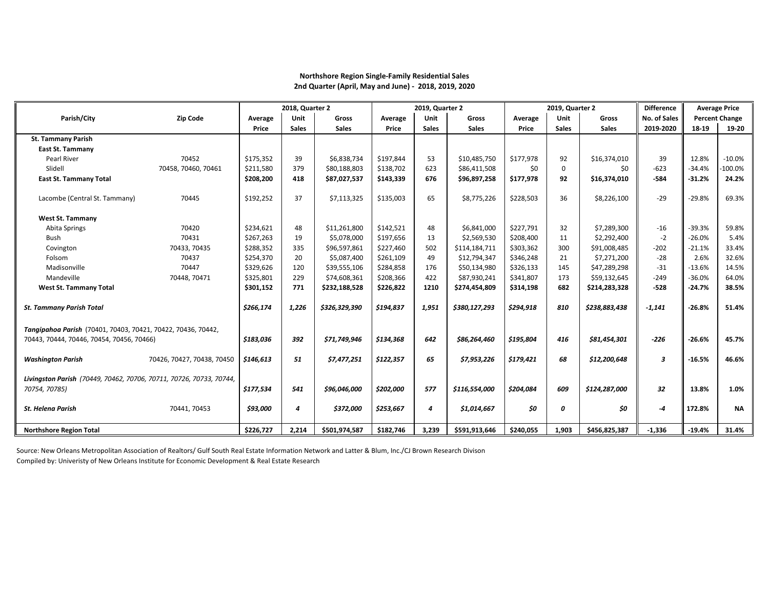## **Northshore Region Single-Family Residential Sales 2nd Quarter (April, May and June) - 2018, 2019, 2020**

|                                                                                                           |                            | 2018, Quarter 2 |              |               | 2019, Quarter 2 |              |               | 2019, Quarter 2 |              | <b>Difference</b> |                  | <b>Average Price</b> |                       |
|-----------------------------------------------------------------------------------------------------------|----------------------------|-----------------|--------------|---------------|-----------------|--------------|---------------|-----------------|--------------|-------------------|------------------|----------------------|-----------------------|
| Parish/City                                                                                               | <b>Zip Code</b>            | Average         | Unit         | Gross         | Average         | Unit         | <b>Gross</b>  | Average         | Unit         | Gross             | No. of Sales     |                      | <b>Percent Change</b> |
|                                                                                                           |                            | Price           | <b>Sales</b> | <b>Sales</b>  | Price           | <b>Sales</b> | <b>Sales</b>  | Price           | <b>Sales</b> | <b>Sales</b>      | 2019-2020        | 18-19                | 19-20                 |
| <b>St. Tammany Parish</b>                                                                                 |                            |                 |              |               |                 |              |               |                 |              |                   |                  |                      |                       |
| <b>East St. Tammany</b>                                                                                   |                            |                 |              |               |                 |              |               |                 |              |                   |                  |                      |                       |
| Pearl River                                                                                               | 70452                      | \$175,352       | 39           | \$6,838,734   | \$197,844       | 53           | \$10,485,750  | \$177,978       | 92           | \$16,374,010      | 39               | 12.8%                | $-10.0%$              |
| Slidell                                                                                                   | 70458, 70460, 70461        | \$211,580       | 379          | \$80,188,803  | \$138,702       | 623          | \$86,411,508  | \$0             | $\Omega$     | \$0               | $-623$           | $-34.4%$             | 100.0%                |
| <b>East St. Tammany Total</b>                                                                             |                            | \$208,200       | 418          | \$87,027,537  | \$143,339       | 676          | \$96,897,258  | \$177,978       | 92           | \$16,374,010      | $-584$           | $-31.2%$             | 24.2%                 |
| Lacombe (Central St. Tammany)                                                                             | 70445                      | \$192,252       | 37           | \$7,113,325   | \$135,003       | 65           | \$8,775,226   | \$228,503       | 36           | \$8,226,100       | $-29$            | $-29.8%$             | 69.3%                 |
| <b>West St. Tammany</b>                                                                                   |                            |                 |              |               |                 |              |               |                 |              |                   |                  |                      |                       |
| Abita Springs                                                                                             | 70420                      | \$234,621       | 48           | \$11,261,800  | \$142,521       | 48           | \$6,841,000   | \$227,791       | 32           | \$7,289,300       | $-16$            | $-39.3%$             | 59.8%                 |
| Bush                                                                                                      | 70431                      | \$267,263       | 19           | \$5,078,000   | \$197,656       | 13           | \$2,569,530   | \$208,400       | 11           | \$2,292,400       | $-2$             | $-26.0%$             | 5.4%                  |
| Covington                                                                                                 | 70433, 70435               | \$288,352       | 335          | \$96,597,861  | \$227,460       | 502          | \$114,184,711 | \$303,362       | 300          | \$91,008,485      | $-202$           | $-21.1%$             | 33.4%                 |
| Folsom                                                                                                    | 70437                      | \$254,370       | 20           | \$5,087,400   | \$261,109       | 49           | \$12,794,347  | \$346,248       | 21           | \$7,271,200       | $-28$            | 2.6%                 | 32.6%                 |
| Madisonville                                                                                              | 70447                      | \$329,626       | 120          | \$39,555,106  | \$284,858       | 176          | \$50,134,980  | \$326,133       | 145          | \$47,289,298      | $-31$            | $-13.6%$             | 14.5%                 |
| Mandeville                                                                                                | 70448, 70471               | \$325,801       | 229          | \$74,608,361  | \$208,366       | 422          | \$87,930,241  | \$341,807       | 173          | \$59,132,645      | $-249$           | $-36.0%$             | 64.0%                 |
| <b>West St. Tammany Total</b>                                                                             |                            | \$301,152       | 771          | \$232,188,528 | \$226,822       | 1210         | \$274,454,809 | \$314,198       | 682          | \$214,283,328     | $-528$           | $-24.7%$             | 38.5%                 |
| <b>St. Tammany Parish Total</b>                                                                           |                            | \$266,174       | 1,226        | \$326,329,390 | \$194,837       | 1,951        | \$380,127,293 | \$294,918       | 810          | \$238,883,438     | $-1,141$         | $-26.8%$             | 51.4%                 |
| Tangipahoa Parish (70401, 70403, 70421, 70422, 70436, 70442,<br>70443, 70444, 70446, 70454, 70456, 70466) |                            | \$183,036       | 392          | \$71,749,946  | \$134,368       | 642          | \$86,264,460  | \$195,804       | 416          | \$81,454,301      | $-226$           | $-26.6%$             | 45.7%                 |
| <b>Washington Parish</b>                                                                                  | 70426, 70427, 70438, 70450 | \$146,613       | 51           | \$7,477,251   | \$122,357       | 65           | \$7,953,226   | \$179,421       | 68           | \$12,200,648      | $\boldsymbol{3}$ | $-16.5%$             | 46.6%                 |
| Livingston Parish (70449, 70462, 70706, 70711, 70726, 70733, 70744,<br>70754, 70785)                      |                            | \$177,534       | 541          | \$96,046,000  | \$202,000       | 577          | \$116,554,000 | \$204,084       | 609          | \$124,287,000     | 32               | 13.8%                | 1.0%                  |
| <b>St. Helena Parish</b>                                                                                  | 70441, 70453               | \$93,000        | 4            | \$372,000     | \$253,667       | 4            | \$1,014,667   | \$0             | 0            | \$0               | $-4$             | 172.8%               | <b>NA</b>             |
| <b>Northshore Region Total</b>                                                                            |                            | \$226,727       | 2,214        | \$501,974,587 | \$182,746       | 3,239        | \$591,913,646 | \$240,055       | 1,903        | \$456,825,387     | $-1,336$         | $-19.4%$             | 31.4%                 |

Source: New Orleans Metropolitan Association of Realtors/ Gulf South Real Estate Information Network and Latter & Blum, Inc./CJ Brown Research Divison

Compiled by: Univeristy of New Orleans Institute for Economic Development & Real Estate Research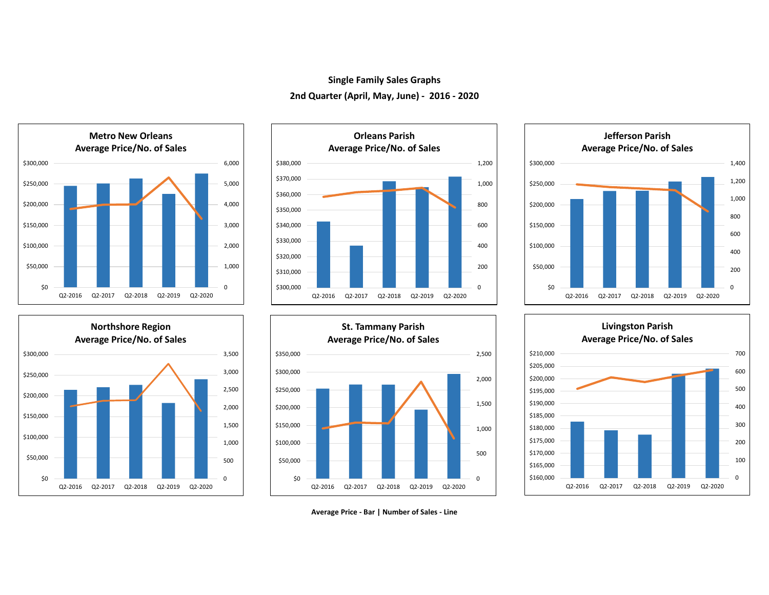## **Single Family Sales Graphs 2nd Quarter (April, May, June) - 2016 - 2020**













**Average Price - Bar | Number of Sales - Line**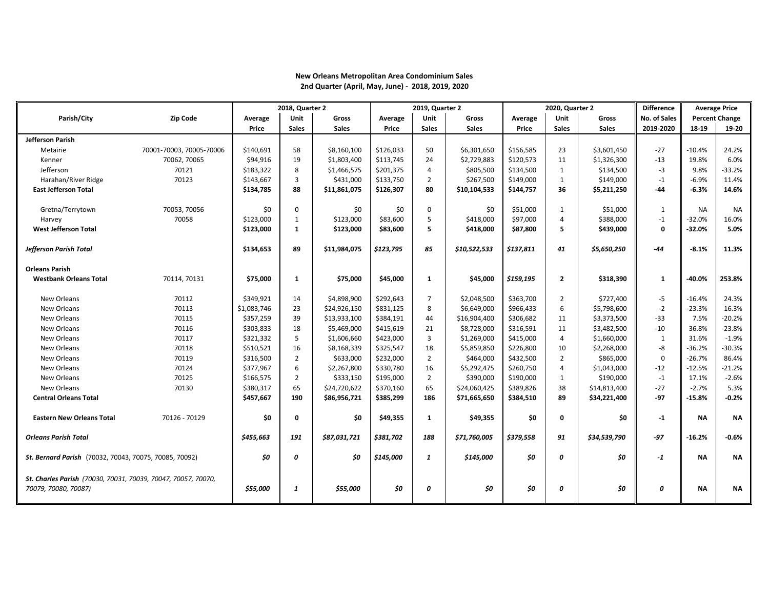## **New Orleans Metropolitan Area Condominium Sales 2nd Quarter (April, May, June) - 2018, 2019, 2020**

|                                                                                       |                          | 2018, Quarter 2 |                |              |           | 2019, Quarter 2 |              | 2020, Quarter 2 |                | <b>Difference</b> | <b>Average Price</b> |           |                       |
|---------------------------------------------------------------------------------------|--------------------------|-----------------|----------------|--------------|-----------|-----------------|--------------|-----------------|----------------|-------------------|----------------------|-----------|-----------------------|
| Parish/City                                                                           | <b>Zip Code</b>          | Average         | Unit           | Gross        | Average   | Unit            | Gross        | Average         | Unit           | <b>Gross</b>      | No. of Sales         |           | <b>Percent Change</b> |
|                                                                                       |                          | Price           | <b>Sales</b>   | <b>Sales</b> | Price     | <b>Sales</b>    | <b>Sales</b> | Price           | <b>Sales</b>   | <b>Sales</b>      | 2019-2020            | 18-19     | 19-20                 |
| <b>Jefferson Parish</b>                                                               |                          |                 |                |              |           |                 |              |                 |                |                   |                      |           |                       |
| Metairie                                                                              | 70001-70003, 70005-70006 | \$140,691       | 58             | \$8,160,100  | \$126,033 | 50              | \$6,301,650  | \$156,585       | 23             | \$3,601,450       | $-27$                | $-10.4%$  | 24.2%                 |
| Kenner                                                                                | 70062, 70065             | \$94,916        | 19             | \$1,803,400  | \$113,745 | 24              | \$2,729,883  | \$120,573       | 11             | \$1,326,300       | $-13$                | 19.8%     | 6.0%                  |
| Jefferson                                                                             | 70121                    | \$183,322       | 8              | \$1,466,575  | \$201.375 | 4               | \$805,500    | \$134,500       | 1              | \$134,500         | $-3$                 | 9.8%      | $-33.2%$              |
| Harahan/River Ridge                                                                   | 70123                    | \$143,667       | $\overline{3}$ | \$431,000    | \$133,750 | $\overline{2}$  | \$267,500    | \$149,000       | $\mathbf{1}$   | \$149,000         | $-1$                 | $-6.9%$   | 11.4%                 |
| <b>East Jefferson Total</b>                                                           |                          | \$134,785       | 88             | \$11,861,075 | \$126,307 | 80              | \$10,104,533 | \$144,757       | 36             | \$5,211,250       | $-44$                | $-6.3%$   | 14.6%                 |
|                                                                                       |                          |                 |                |              |           |                 |              |                 |                |                   |                      |           |                       |
| Gretna/Terrytown                                                                      | 70053, 70056             | \$0             | $\mathbf 0$    | \$0          | \$0       | $\Omega$        | \$0          | \$51,000        | 1              | \$51,000          | $\mathbf{1}$         | <b>NA</b> | <b>NA</b>             |
| Harvey                                                                                | 70058                    | \$123,000       | $\mathbf{1}$   | \$123,000    | \$83,600  | 5               | \$418,000    | \$97,000        | $\overline{4}$ | \$388,000         | $-1$                 | $-32.0%$  | 16.0%                 |
| <b>West Jefferson Total</b>                                                           |                          | \$123,000       | $\mathbf{1}$   | \$123,000    | \$83,600  | 5               | \$418,000    | \$87,800        | 5              | \$439,000         | 0                    | $-32.0%$  | 5.0%                  |
| <b>Jefferson Parish Total</b>                                                         |                          | \$134,653       | 89             | \$11,984,075 | \$123,795 | 85              | \$10,522,533 | \$137,811       | 41             | \$5,650,250       | $-44$                | $-8.1%$   | 11.3%                 |
| <b>Orleans Parish</b>                                                                 |                          |                 |                |              |           |                 |              |                 |                |                   |                      |           |                       |
| <b>Westbank Orleans Total</b>                                                         | 70114, 70131             | \$75,000        | 1              | \$75,000     | \$45,000  | $\mathbf{1}$    | \$45,000     | \$159,195       | $\overline{2}$ | \$318,390         | $\mathbf{1}$         | $-40.0%$  | 253.8%                |
| New Orleans                                                                           | 70112                    | \$349,921       | 14             | \$4,898,900  | \$292,643 | $\overline{7}$  | \$2,048,500  | \$363,700       | $\overline{2}$ | \$727,400         | $-5$                 | $-16.4%$  | 24.3%                 |
| New Orleans                                                                           | 70113                    | \$1,083,746     | 23             | \$24,926,150 | \$831,125 | 8               | \$6,649,000  | \$966,433       | 6              | \$5,798,600       | $-2$                 | $-23.3%$  | 16.3%                 |
| New Orleans                                                                           | 70115                    | \$357,259       | 39             | \$13,933,100 | \$384,191 | 44              | \$16,904,400 | \$306,682       | 11             | \$3,373,500       | $-33$                | 7.5%      | $-20.2%$              |
| New Orleans                                                                           | 70116                    | \$303,833       | 18             | \$5,469,000  | \$415,619 | 21              | \$8,728,000  | \$316,591       | 11             | \$3,482,500       | $-10$                | 36.8%     | $-23.8%$              |
| New Orleans                                                                           | 70117                    | \$321,332       | 5              | \$1,606,660  | \$423,000 | 3               | \$1,269,000  | \$415,000       | $\overline{4}$ | \$1,660,000       | $\mathbf{1}$         | 31.6%     | $-1.9%$               |
| New Orleans                                                                           | 70118                    | \$510,521       | 16             | \$8,168,339  | \$325,547 | 18              | \$5,859,850  | \$226,800       | 10             | \$2,268,000       | -8                   | $-36.2%$  | $-30.3%$              |
| New Orleans                                                                           | 70119                    | \$316,500       | $\overline{2}$ | \$633,000    | \$232,000 | 2               | \$464,000    | \$432,500       | $\overline{2}$ | \$865,000         | $\Omega$             | $-26.7%$  | 86.4%                 |
| New Orleans                                                                           | 70124                    | \$377,967       | 6              | \$2,267,800  | \$330,780 | 16              | \$5,292,475  | \$260,750       | $\overline{4}$ | \$1,043,000       | $-12$                | $-12.5%$  | $-21.2%$              |
| New Orleans                                                                           | 70125                    | \$166,575       | $\overline{2}$ | \$333,150    | \$195,000 | $\overline{2}$  | \$390,000    | \$190,000       | 1              | \$190,000         | $-1$                 | 17.1%     | $-2.6%$               |
| New Orleans                                                                           | 70130                    | \$380,317       | 65             | \$24,720,622 | \$370,160 | 65              | \$24,060,425 | \$389,826       | 38             | \$14,813,400      | $-27$                | $-2.7%$   | 5.3%                  |
| <b>Central Orleans Total</b>                                                          |                          | \$457,667       | 190            | \$86,956,721 | \$385,299 | 186             | \$71,665,650 | \$384,510       | 89             | \$34,221,400      | -97                  | $-15.8%$  | -0.2%                 |
| <b>Eastern New Orleans Total</b>                                                      | 70126 - 70129            | \$0             | 0              | \$0          | \$49,355  | 1               | \$49,355     | \$0             | 0              | \$0               | $-1$                 | <b>NA</b> | <b>NA</b>             |
| <b>Orleans Parish Total</b>                                                           |                          | \$455,663       | 191            | \$87,031,721 | \$381,702 | 188             | \$71,760,005 | \$379,558       | 91             | \$34,539,790      | $-97$                | $-16.2%$  | $-0.6%$               |
| St. Bernard Parish (70032, 70043, 70075, 70085, 70092)                                |                          | \$0             | 0              | \$0          | \$145,000 | $\mathbf{1}$    | \$145,000    | \$0             | 0              | \$0               | $-1$                 | <b>NA</b> | ΝA                    |
| St. Charles Parish (70030, 70031, 70039, 70047, 70057, 70070,<br>70079, 70080, 70087) |                          | \$55,000        | 1              | \$55,000     | \$0       | 0               | \$0          | \$0             | 0              | \$0               | 0                    | <b>NA</b> | ΝA                    |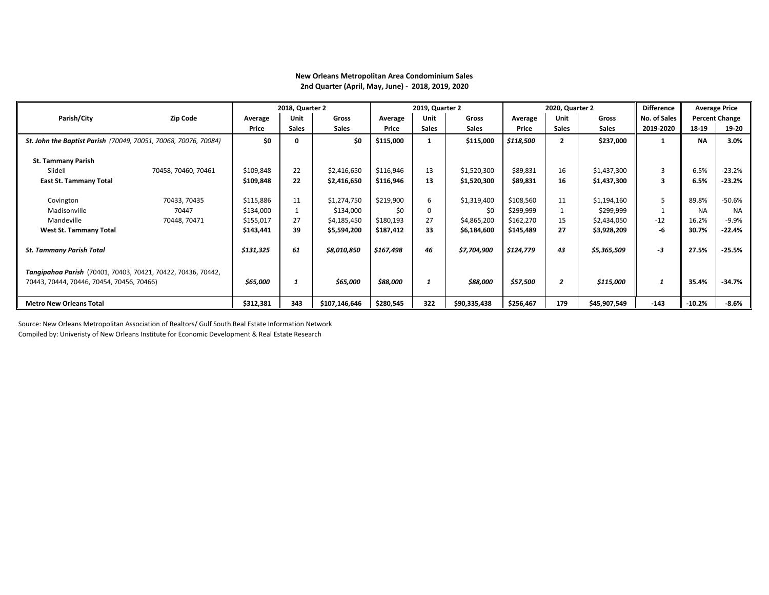|                                                                 |                     |           | 2018, Quarter 2 |               |           | 2019, Quarter 2 |              |           | 2020, Quarter 2 |              | <b>Difference</b> |           | <b>Average Price</b>  |
|-----------------------------------------------------------------|---------------------|-----------|-----------------|---------------|-----------|-----------------|--------------|-----------|-----------------|--------------|-------------------|-----------|-----------------------|
| Parish/City                                                     | <b>Zip Code</b>     | Average   | Unit            | Gross         | Average   | <b>Unit</b>     | Gross        | Average   | Unit            | <b>Gross</b> | No. of Sales      |           | <b>Percent Change</b> |
|                                                                 |                     | Price     | <b>Sales</b>    | <b>Sales</b>  | Price     | <b>Sales</b>    | <b>Sales</b> | Price     | <b>Sales</b>    | <b>Sales</b> | 2019-2020         | 18-19     | 19-20                 |
| St. John the Baptist Parish (70049, 70051, 70068, 70076, 70084) |                     | \$0       | 0               | \$0           | \$115,000 | 1               | \$115,000    | \$118,500 | $\overline{2}$  | \$237,000    |                   | <b>NA</b> | 3.0%                  |
| <b>St. Tammany Parish</b>                                       |                     |           |                 |               |           |                 |              |           |                 |              |                   |           |                       |
| Slidell                                                         | 70458, 70460, 70461 | \$109,848 | 22              | \$2,416,650   | \$116,946 | 13              | \$1,520,300  | \$89,831  | 16              | \$1,437,300  | 3                 | 6.5%      | $-23.2%$              |
| <b>East St. Tammany Total</b>                                   |                     | \$109,848 | 22              | \$2,416,650   | \$116,946 | 13              | \$1,520,300  | \$89,831  | 16              | \$1,437,300  | 3                 | 6.5%      | $-23.2%$              |
|                                                                 |                     |           |                 |               |           |                 |              |           |                 |              |                   |           |                       |
| Covington                                                       | 70433, 70435        | \$115,886 | 11              | \$1,274,750   | \$219,900 | 6               | \$1,319,400  | \$108,560 | 11              | \$1,194,160  | 5                 | 89.8%     | $-50.6%$              |
| Madisonville                                                    | 70447               | \$134,000 | $\mathbf{1}$    | \$134,000     | \$0       | $\Omega$        | \$0          | \$299,999 |                 | \$299,999    |                   | <b>NA</b> | <b>NA</b>             |
| Mandeville                                                      | 70448, 70471        | \$155,017 | 27              | \$4,185,450   | \$180,193 | 27              | \$4,865,200  | \$162,270 | 15              | \$2,434,050  | $-12$             | 16.2%     | $-9.9%$               |
| <b>West St. Tammany Total</b>                                   |                     | \$143,441 | 39              | \$5,594,200   | \$187,412 | 33              | \$6,184,600  | \$145,489 | 27              | \$3,928,209  | -6                | 30.7%     | $-22.4%$              |
|                                                                 |                     |           |                 |               |           |                 |              |           |                 |              |                   |           |                       |
| <b>St. Tammany Parish Total</b>                                 |                     | \$131,325 | 61              | \$8,010,850   | \$167,498 | 46              | \$7,704,900  | \$124,779 | 43              | \$5,365,509  | -3                | 27.5%     | $-25.5%$              |
|                                                                 |                     |           |                 |               |           |                 |              |           |                 |              |                   |           |                       |
| Tangipahoa Parish (70401, 70403, 70421, 70422, 70436, 70442,    |                     |           |                 |               |           |                 |              |           |                 |              |                   |           |                       |
| 70443, 70444, 70446, 70454, 70456, 70466)                       |                     | \$65,000  | $\mathbf{1}$    | \$65,000      | \$88,000  | 1               | \$88,000     | \$57,500  | $\overline{2}$  | \$115,000    | 1                 | 35.4%     | $-34.7%$              |
| <b>Metro New Orleans Total</b>                                  |                     | \$312,381 | 343             | \$107,146,646 | \$280,545 | 322             | \$90,335,438 | \$256,467 | 179             | \$45,907,549 | $-143$            | $-10.2%$  | $-8.6%$               |

## **New Orleans Metropolitan Area Condominium Sales 2nd Quarter (April, May, June) - 2018, 2019, 2020**

Source: New Orleans Metropolitan Association of Realtors/ Gulf South Real Estate Information Network Compiled by: Univeristy of New Orleans Institute for Economic Development & Real Estate Research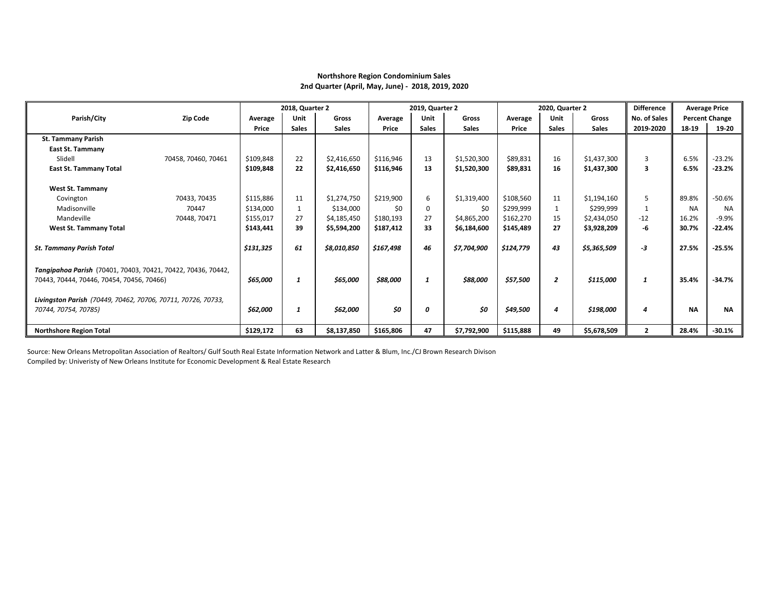## **Northshore Region Condominium Sales 2nd Quarter (April, May, June) - 2018, 2019, 2020**

|                                                              |                     | 2018, Quarter 2 |              |              | 2019, Quarter 2 |              |              | 2020, Quarter 2 |                | <b>Difference</b> |                     | <b>Average Price</b> |                       |
|--------------------------------------------------------------|---------------------|-----------------|--------------|--------------|-----------------|--------------|--------------|-----------------|----------------|-------------------|---------------------|----------------------|-----------------------|
| Parish/City                                                  | <b>Zip Code</b>     | Average         | Unit         | Gross        | Average         | Unit         | <b>Gross</b> | Average         | <b>Unit</b>    | Gross             | <b>No. of Sales</b> |                      | <b>Percent Change</b> |
|                                                              |                     | Price           | <b>Sales</b> | <b>Sales</b> | Price           | <b>Sales</b> | <b>Sales</b> | Price           | <b>Sales</b>   | <b>Sales</b>      | 2019-2020           | 18-19                | 19-20                 |
| <b>St. Tammany Parish</b>                                    |                     |                 |              |              |                 |              |              |                 |                |                   |                     |                      |                       |
| <b>East St. Tammany</b>                                      |                     |                 |              |              |                 |              |              |                 |                |                   |                     |                      |                       |
| Slidell                                                      | 70458, 70460, 70461 | \$109,848       | 22           | \$2,416,650  | \$116,946       | 13           | \$1,520,300  | \$89,831        | 16             | \$1,437,300       | 3                   | 6.5%                 | $-23.2%$              |
| <b>East St. Tammany Total</b>                                |                     | \$109,848       | 22           | \$2,416,650  | \$116,946       | 13           | \$1,520,300  | \$89,831        | 16             | \$1,437,300       | 3                   | 6.5%                 | $-23.2%$              |
|                                                              |                     |                 |              |              |                 |              |              |                 |                |                   |                     |                      |                       |
| <b>West St. Tammany</b>                                      |                     |                 |              |              |                 |              |              |                 |                |                   |                     |                      |                       |
| Covington                                                    | 70433, 70435        | \$115,886       | 11           | \$1,274,750  | \$219,900       | 6            | \$1,319,400  | \$108,560       | 11             | \$1,194,160       | 5                   | 89.8%                | $-50.6%$              |
| Madisonville                                                 | 70447               | \$134,000       | 1            | \$134,000    | \$0             |              | \$0          | \$299,999       | 1              | \$299.999         |                     | <b>NA</b>            | <b>NA</b>             |
| Mandeville                                                   | 70448, 70471        | \$155,017       | 27           | \$4,185,450  | \$180,193       | 27           | \$4,865,200  | \$162,270       | 15             | \$2,434,050       | $-12$               | 16.2%                | $-9.9%$               |
| <b>West St. Tammany Total</b>                                |                     | \$143,441       | 39           | \$5,594,200  | \$187,412       | 33           | \$6,184,600  | \$145,489       | 27             | \$3,928,209       | -6                  | 30.7%                | -22.4%                |
|                                                              |                     |                 |              |              |                 |              |              |                 |                |                   |                     |                      |                       |
| <b>St. Tammany Parish Total</b>                              |                     | \$131,325       | 61           | \$8,010,850  | \$167,498       | 46           | \$7,704,900  | \$124,779       | 43             | \$5,365,509       | -3                  | 27.5%                | $-25.5%$              |
|                                                              |                     |                 |              |              |                 |              |              |                 |                |                   |                     |                      |                       |
| Tangipahoa Parish (70401, 70403, 70421, 70422, 70436, 70442, |                     |                 |              |              |                 |              |              |                 |                |                   |                     |                      |                       |
| 70443, 70444, 70446, 70454, 70456, 70466)                    |                     | \$65,000        | 1            | \$65,000     | \$88,000        | 1            | \$88,000     | \$57,500        | $\overline{2}$ | \$115,000         | 1                   | 35.4%                | $-34.7%$              |
|                                                              |                     |                 |              |              |                 |              |              |                 |                |                   |                     |                      |                       |
| Livingston Parish (70449, 70462, 70706, 70711, 70726, 70733, |                     |                 |              |              |                 |              |              |                 |                |                   |                     |                      |                       |
| 70744, 70754, 70785)                                         |                     | \$62,000        |              | \$62,000     | \$0             | 0            | \$O          | \$49,500        | 4              | \$198,000         | 4                   | <b>NA</b>            | <b>NA</b>             |
|                                                              |                     |                 |              |              |                 |              |              |                 |                |                   |                     |                      |                       |
| <b>Northshore Region Total</b>                               |                     | \$129,172       | 63           | \$8,137,850  | \$165,806       | 47           | \$7,792,900  | \$115,888       | 49             | \$5,678,509       | $\overline{2}$      | 28.4%                | $-30.1%$              |

Source: New Orleans Metropolitan Association of Realtors/ Gulf South Real Estate Information Network and Latter & Blum, Inc./CJ Brown Research Divison

Compiled by: Univeristy of New Orleans Institute for Economic Development & Real Estate Research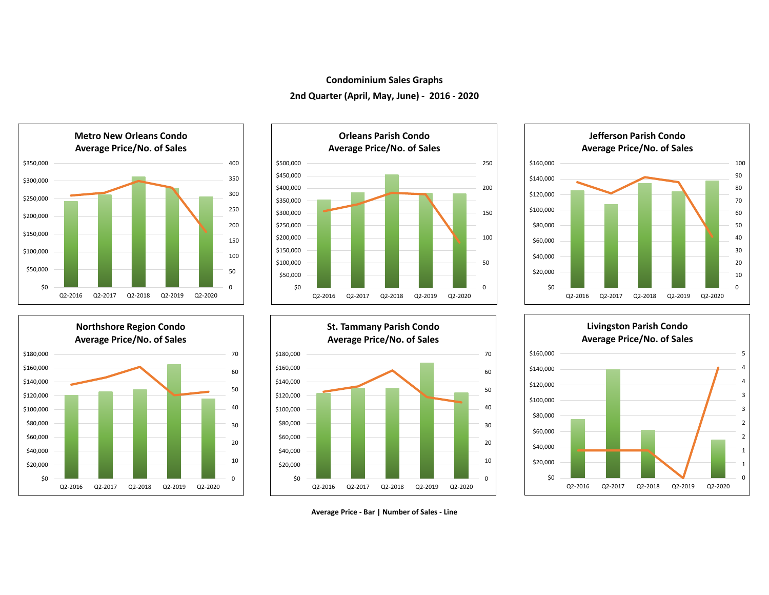## **Condominium Sales Graphs 2nd Quarter (April, May, June) - 2016 - 2020**













**Average Price - Bar | Number of Sales - Line**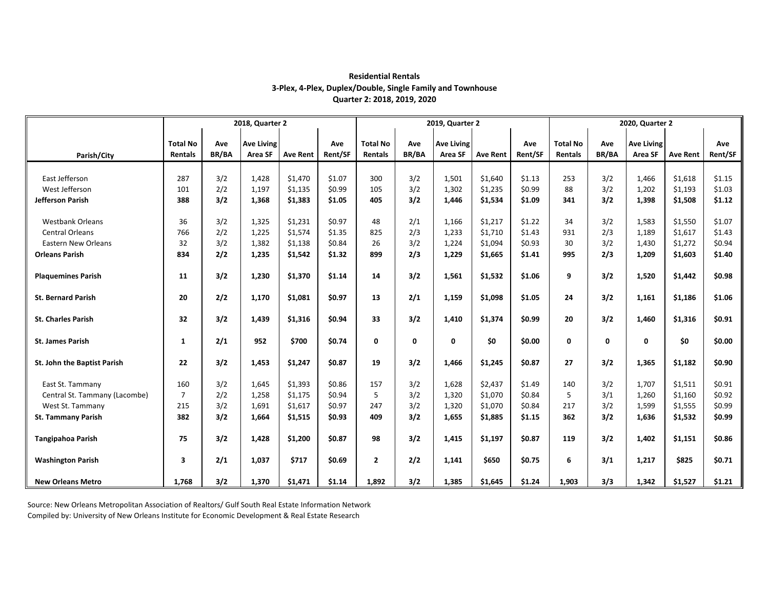|                               | 2018, Quarter 2 |              |                   |                 |         |                 |              | 2019, Quarter 2   |                 |         | 2020, Quarter 2 |              |                   |                 |         |  |
|-------------------------------|-----------------|--------------|-------------------|-----------------|---------|-----------------|--------------|-------------------|-----------------|---------|-----------------|--------------|-------------------|-----------------|---------|--|
|                               |                 |              |                   |                 |         |                 |              |                   |                 |         |                 |              |                   |                 |         |  |
|                               | <b>Total No</b> | Ave          | <b>Ave Living</b> |                 | Ave     | <b>Total No</b> | Ave          | <b>Ave Living</b> |                 | Ave     | <b>Total No</b> | Ave          | <b>Ave Living</b> |                 | Ave     |  |
| Parish/City                   | Rentals         | <b>BR/BA</b> | Area SF           | <b>Ave Rent</b> | Rent/SF | Rentals         | <b>BR/BA</b> | Area SF           | <b>Ave Rent</b> | Rent/SF | Rentals         | BR/BA        | Area SF           | <b>Ave Rent</b> | Rent/SF |  |
|                               |                 |              |                   |                 |         |                 |              |                   |                 |         |                 |              |                   |                 |         |  |
| East Jefferson                | 287             | 3/2          | 1,428             | \$1,470         | \$1.07  | 300             | 3/2          | 1,501             | \$1,640         | \$1.13  | 253             | 3/2          | 1,466             | \$1,618         | \$1.15  |  |
| West Jefferson                | 101             | 2/2          | 1,197             | \$1,135         | \$0.99  | 105             | 3/2          | 1,302             | \$1,235         | \$0.99  | 88              | 3/2          | 1,202             | \$1,193         | \$1.03  |  |
| Jefferson Parish              | 388             | 3/2          | 1,368             | \$1,383         | \$1.05  | 405             | 3/2          | 1,446             | \$1,534         | \$1.09  | 341             | 3/2          | 1,398             | \$1,508         | \$1.12  |  |
|                               |                 |              |                   |                 |         |                 |              |                   |                 |         |                 |              |                   |                 |         |  |
| <b>Westbank Orleans</b>       | 36              | 3/2          | 1,325             | \$1,231         | \$0.97  | 48              | 2/1          | 1,166             | \$1,217         | \$1.22  | 34              | 3/2          | 1,583             | \$1,550         | \$1.07  |  |
| <b>Central Orleans</b>        | 766             | 2/2          | 1,225             | \$1,574         | \$1.35  | 825             | 2/3          | 1,233             | \$1,710         | \$1.43  | 931             | 2/3          | 1,189             | \$1,617         | \$1.43  |  |
| Eastern New Orleans           | 32              | 3/2          | 1,382             | \$1,138         | \$0.84  | 26              | 3/2          | 1,224             | \$1,094         | \$0.93  | 30              | 3/2          | 1,430             | \$1,272         | \$0.94  |  |
| <b>Orleans Parish</b>         | 834             | 2/2          | 1,235             | \$1,542         | \$1.32  | 899             | 2/3          | 1,229             | \$1,665         | \$1.41  | 995             | 2/3          | 1,209             | \$1,603         | \$1.40  |  |
|                               |                 |              |                   |                 |         |                 |              |                   |                 |         |                 |              |                   |                 |         |  |
| <b>Plaquemines Parish</b>     | 11              | 3/2          | 1,230             | \$1,370         | \$1.14  | 14              | 3/2          | 1,561             | \$1,532         | \$1.06  | 9               | 3/2          | 1,520             | \$1,442         | \$0.98  |  |
|                               |                 |              |                   |                 |         |                 |              |                   |                 |         |                 |              |                   |                 |         |  |
| <b>St. Bernard Parish</b>     | 20              | 2/2          | 1,170             | \$1,081         | \$0.97  | 13              | 2/1          | 1,159             | \$1,098         | \$1.05  | 24              | 3/2          | 1,161             | \$1,186         | \$1.06  |  |
|                               |                 |              |                   |                 |         |                 |              |                   |                 |         |                 |              |                   |                 |         |  |
| <b>St. Charles Parish</b>     | 32              | 3/2          | 1,439             | \$1,316         | \$0.94  | 33              | 3/2          | 1,410             | \$1,374         | \$0.99  | 20              | 3/2          | 1,460             | \$1,316         | \$0.91  |  |
|                               |                 |              |                   |                 |         |                 |              |                   |                 |         |                 |              |                   |                 |         |  |
| <b>St. James Parish</b>       | $\mathbf{1}$    | 2/1          | 952               | \$700           | \$0.74  | $\mathbf 0$     | 0            | $\mathbf 0$       | \$0             | \$0.00  | $\mathbf 0$     | $\mathbf{0}$ | 0                 | \$0             | \$0.00  |  |
|                               |                 |              |                   |                 |         |                 |              |                   |                 |         |                 |              |                   |                 |         |  |
| St. John the Baptist Parish   | 22              | 3/2          | 1,453             | \$1,247         | \$0.87  | 19              | 3/2          | 1,466             | \$1,245         | \$0.87  | 27              | 3/2          | 1,365             | \$1,182         | \$0.90  |  |
| East St. Tammany              | 160             | 3/2          | 1,645             | \$1,393         | \$0.86  | 157             | 3/2          | 1,628             | \$2,437         | \$1.49  | 140             | 3/2          | 1,707             | \$1,511         | \$0.91  |  |
| Central St. Tammany (Lacombe) | $\overline{7}$  | 2/2          | 1,258             | \$1,175         | \$0.94  | 5               | 3/2          | 1,320             | \$1,070         | \$0.84  | $\overline{5}$  | 3/1          | 1,260             | \$1,160         | \$0.92  |  |
| West St. Tammany              | 215             | 3/2          | 1,691             | \$1,617         | \$0.97  | 247             | 3/2          | 1,320             | \$1,070         | \$0.84  | 217             | 3/2          | 1,599             | \$1,555         | \$0.99  |  |
| <b>St. Tammany Parish</b>     | 382             | 3/2          | 1,664             | \$1,515         | \$0.93  | 409             | 3/2          | 1,655             | \$1,885         | \$1.15  | 362             | 3/2          | 1,636             | \$1,532         | \$0.99  |  |
|                               |                 |              |                   |                 |         |                 |              |                   |                 |         |                 |              |                   |                 |         |  |
| Tangipahoa Parish             | 75              | 3/2          | 1,428             | \$1,200         | \$0.87  | 98              | 3/2          | 1,415             | \$1,197         | \$0.87  | 119             | 3/2          | 1,402             | \$1,151         | \$0.86  |  |
|                               |                 |              |                   |                 |         |                 |              |                   |                 |         |                 |              |                   |                 |         |  |
| <b>Washington Parish</b>      | 3               | 2/1          | 1,037             | \$717           | \$0.69  | $\overline{2}$  | 2/2          | 1,141             | \$650           | \$0.75  | 6               | 3/1          | 1,217             | \$825           | \$0.71  |  |
|                               |                 |              |                   |                 |         |                 |              |                   |                 |         |                 |              |                   |                 |         |  |
| <b>New Orleans Metro</b>      | 1,768           | 3/2          | 1,370             | \$1,471         | \$1.14  | 1,892           | 3/2          | 1,385             | \$1,645         | \$1.24  | 1,903           | 3/3          | 1,342             | \$1,527         | \$1.21  |  |

## **Residential Rentals 3-Plex, 4-Plex, Duplex/Double, Single Family and Townhouse Quarter 2: 2018, 2019, 2020**

Source: New Orleans Metropolitan Association of Realtors/ Gulf South Real Estate Information Network Compiled by: University of New Orleans Institute for Economic Development & Real Estate Research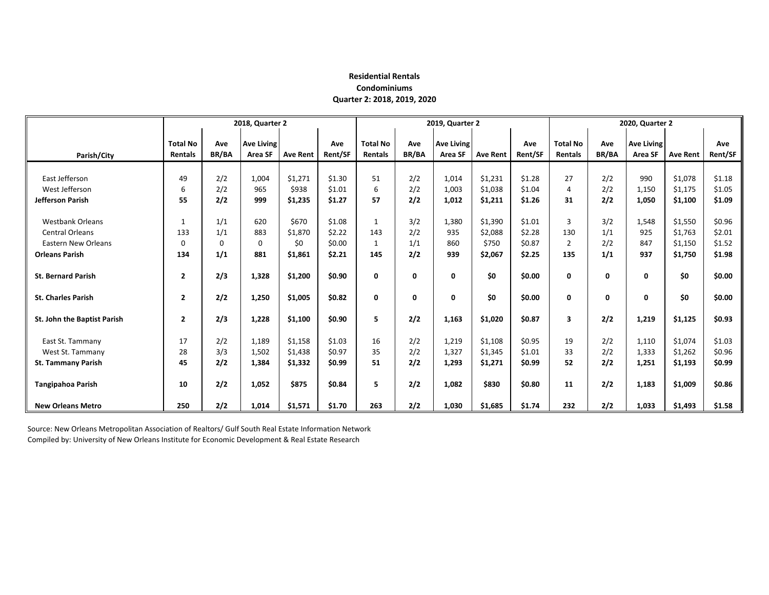## **Residential Rentals Condominiums Quarter 2: 2018, 2019, 2020**

|                             |                                   | 2018, Quarter 2     |                              |                 | 2019, Quarter 2 |                                   |                     | 2020, Quarter 2              |                 |                |                                   |                     |                              |                 |                |
|-----------------------------|-----------------------------------|---------------------|------------------------------|-----------------|-----------------|-----------------------------------|---------------------|------------------------------|-----------------|----------------|-----------------------------------|---------------------|------------------------------|-----------------|----------------|
| Parish/City                 | <b>Total No</b><br><b>Rentals</b> | Ave<br><b>BR/BA</b> | <b>Ave Living</b><br>Area SF | <b>Ave Rent</b> | Ave<br>Rent/SF  | <b>Total No</b><br><b>Rentals</b> | Ave<br><b>BR/BA</b> | <b>Ave Living</b><br>Area SF | <b>Ave Rent</b> | Ave<br>Rent/SF | <b>Total No</b><br><b>Rentals</b> | Ave<br><b>BR/BA</b> | <b>Ave Living</b><br>Area SF | <b>Ave Rent</b> | Ave<br>Rent/SF |
|                             |                                   |                     |                              |                 |                 |                                   |                     |                              |                 |                |                                   |                     |                              |                 |                |
| East Jefferson              | 49                                | 2/2                 | 1,004                        | \$1,271         | \$1.30          | 51                                | 2/2                 | 1,014                        | \$1,231         | \$1.28         | 27                                | 2/2                 | 990                          | \$1,078         | \$1.18         |
| West Jefferson              | 6                                 | 2/2                 | 965                          | \$938           | \$1.01          | 6                                 | 2/2                 | 1,003                        | \$1,038         | \$1.04         | 4                                 | 2/2                 | 1,150                        | \$1,175         | \$1.05         |
| Jefferson Parish            | 55                                | 2/2                 | 999                          | \$1,235         | \$1.27          | 57                                | 2/2                 | 1,012                        | \$1,211         | \$1.26         | 31                                | 2/2                 | 1,050                        | \$1,100         | \$1.09         |
|                             |                                   |                     |                              |                 |                 |                                   |                     |                              |                 |                |                                   |                     |                              |                 |                |
| <b>Westbank Orleans</b>     | 1                                 | 1/1                 | 620                          | \$670           | \$1.08          | 1                                 | 3/2                 | 1,380                        | \$1,390         | \$1.01         | 3                                 | 3/2                 | 1,548                        | \$1,550         | \$0.96         |
| <b>Central Orleans</b>      | 133                               | 1/1                 | 883                          | \$1,870         | \$2.22          | 143                               | 2/2                 | 935                          | \$2,088         | \$2.28         | 130                               | 1/1                 | 925                          | \$1,763         | \$2.01         |
| <b>Eastern New Orleans</b>  | $\Omega$                          | $\Omega$            | $\Omega$                     | \$0             | \$0.00          | $\mathbf{1}$                      | 1/1                 | 860                          | \$750           | \$0.87         | $\overline{2}$                    | 2/2                 | 847                          | \$1,150         | \$1.52         |
| <b>Orleans Parish</b>       | 134                               | 1/1                 | 881                          | \$1,861         | \$2.21          | 145                               | 2/2                 | 939                          | \$2,067         | \$2.25         | 135                               | 1/1                 | 937                          | \$1,750         | \$1.98         |
|                             |                                   |                     |                              |                 |                 |                                   |                     |                              |                 |                |                                   |                     |                              |                 |                |
| <b>St. Bernard Parish</b>   | $\mathbf{2}$                      | 2/3                 | 1,328                        | \$1,200         | \$0.90          | 0                                 | 0                   | $\mathbf{0}$                 | \$0             | \$0.00         | 0                                 | $\mathbf{0}$        | 0                            | \$0             | \$0.00         |
|                             |                                   |                     |                              |                 |                 |                                   |                     |                              |                 |                |                                   |                     |                              |                 |                |
| <b>St. Charles Parish</b>   | $\mathbf{2}$                      | 2/2                 | 1,250                        | \$1,005         | \$0.82          | 0                                 | 0                   | $\mathbf 0$                  | \$0             | \$0.00         | 0                                 | 0                   | 0                            | \$0             | \$0.00         |
|                             |                                   |                     |                              |                 |                 |                                   |                     |                              |                 |                |                                   |                     |                              |                 |                |
| St. John the Baptist Parish | $\mathbf{2}$                      | 2/3                 | 1,228                        | \$1,100         | \$0.90          | 5                                 | 2/2                 | 1,163                        | \$1,020         | \$0.87         | $\overline{\mathbf{3}}$           | 2/2                 | 1,219                        | \$1,125         | \$0.93         |
|                             |                                   |                     |                              |                 |                 |                                   |                     |                              |                 |                |                                   |                     |                              |                 |                |
| East St. Tammany            | 17                                | 2/2                 | 1,189                        | \$1,158         | \$1.03          | 16                                | 2/2                 | 1,219                        | \$1,108         | \$0.95         | 19                                | 2/2                 | 1,110                        | \$1,074         | \$1.03         |
| West St. Tammany            | 28                                | 3/3                 | 1,502                        | \$1,438         | \$0.97          | 35                                | 2/2                 | 1,327                        | \$1,345         | \$1.01         | 33                                | 2/2                 | 1,333                        | \$1,262         | \$0.96         |
| <b>St. Tammany Parish</b>   | 45                                | 2/2                 | 1,384                        | \$1,332         | \$0.99          | 51                                | 2/2                 | 1,293                        | \$1,271         | \$0.99         | 52                                | 2/2                 | 1,251                        | \$1,193         | \$0.99         |
|                             |                                   |                     |                              |                 |                 |                                   |                     |                              |                 |                |                                   |                     |                              |                 |                |
| <b>Tangipahoa Parish</b>    | 10                                | 2/2                 | 1,052                        | \$875           | \$0.84          | 5                                 | 2/2                 | 1,082                        | \$830           | \$0.80         | 11                                | 2/2                 | 1,183                        | \$1,009         | \$0.86         |
|                             |                                   |                     |                              |                 |                 |                                   |                     |                              |                 |                |                                   |                     |                              |                 |                |
| <b>New Orleans Metro</b>    | 250                               | 2/2                 | 1,014                        | \$1,571         | \$1.70          | 263                               | 2/2                 | 1,030                        | \$1,685         | \$1.74         | 232                               | 2/2                 | 1,033                        | \$1,493         | \$1.58         |

Source: New Orleans Metropolitan Association of Realtors/ Gulf South Real Estate Information Network Compiled by: University of New Orleans Institute for Economic Development & Real Estate Research